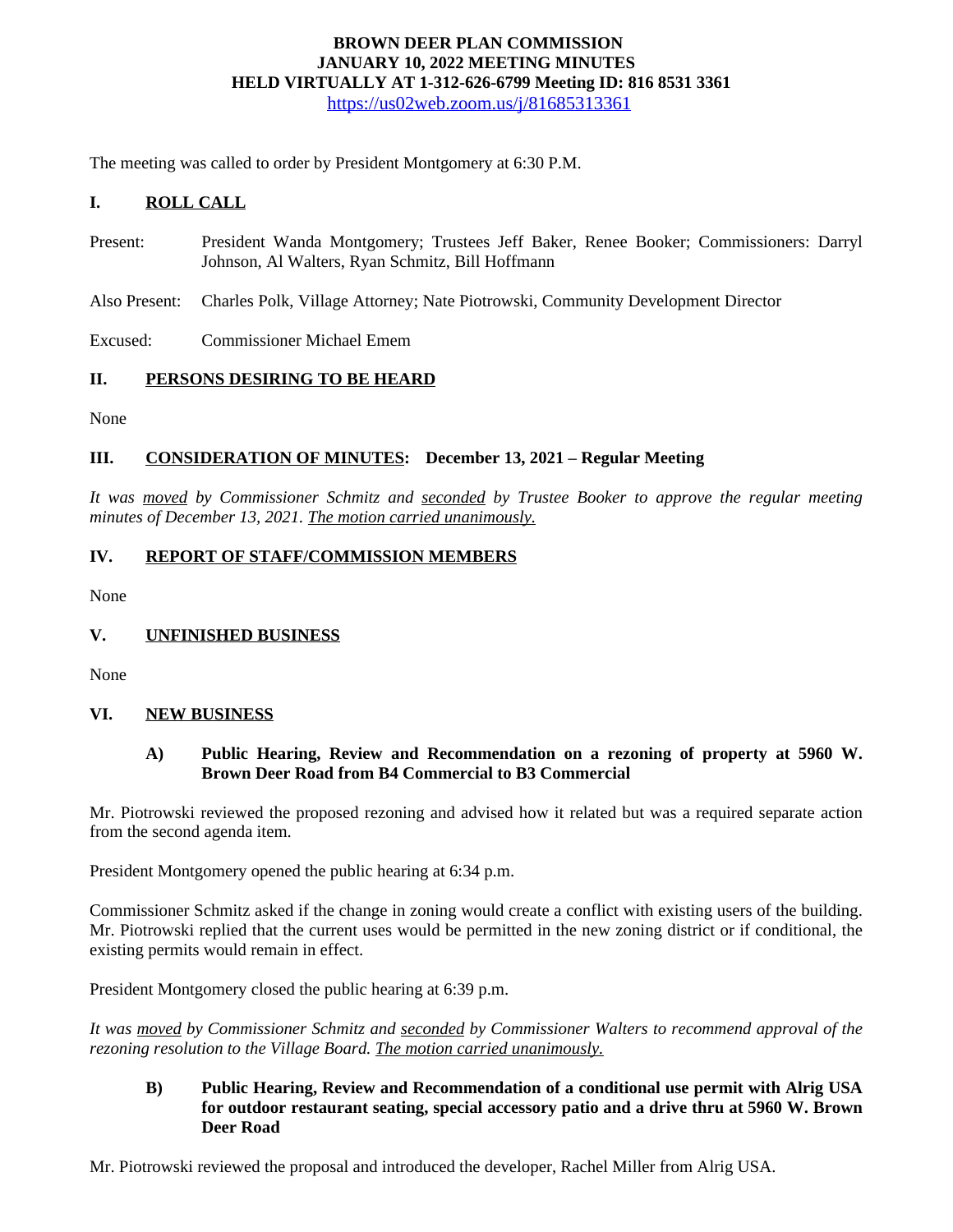### **BROWN DEER PLAN COMMISSION JANUARY 10, 2022 MEETING MINUTES HELD VIRTUALLY AT 1-312-626-6799 Meeting ID: 816 8531 3361** <https://us02web.zoom.us/j/81685313361>

The meeting was called to order by President Montgomery at 6:30 P.M.

# **I. ROLL CALL**

- Present: President Wanda Montgomery; Trustees Jeff Baker, Renee Booker; Commissioners: Darryl Johnson, Al Walters, Ryan Schmitz, Bill Hoffmann
- Also Present: Charles Polk, Village Attorney; Nate Piotrowski, Community Development Director

Excused: Commissioner Michael Emem

### **II. PERSONS DESIRING TO BE HEARD**

None

# **III. CONSIDERATION OF MINUTES: December 13, 2021 – Regular Meeting**

*It was moved by Commissioner Schmitz and seconded by Trustee Booker to approve the regular meeting minutes of December 13, 2021. The motion carried unanimously.*

# **IV. REPORT OF STAFF/COMMISSION MEMBERS**

None

### **V. UNFINISHED BUSINESS**

None

### **VI. NEW BUSINESS**

### **A) Public Hearing, Review and Recommendation on a rezoning of property at 5960 W. Brown Deer Road from B4 Commercial to B3 Commercial**

Mr. Piotrowski reviewed the proposed rezoning and advised how it related but was a required separate action from the second agenda item.

President Montgomery opened the public hearing at 6:34 p.m.

Commissioner Schmitz asked if the change in zoning would create a conflict with existing users of the building. Mr. Piotrowski replied that the current uses would be permitted in the new zoning district or if conditional, the existing permits would remain in effect.

President Montgomery closed the public hearing at 6:39 p.m.

*It was moved by Commissioner Schmitz and seconded by Commissioner Walters to recommend approval of the rezoning resolution to the Village Board. The motion carried unanimously.*

### **B) Public Hearing, Review and Recommendation of a conditional use permit with Alrig USA for outdoor restaurant seating, special accessory patio and a drive thru at 5960 W. Brown Deer Road**

Mr. Piotrowski reviewed the proposal and introduced the developer, Rachel Miller from Alrig USA.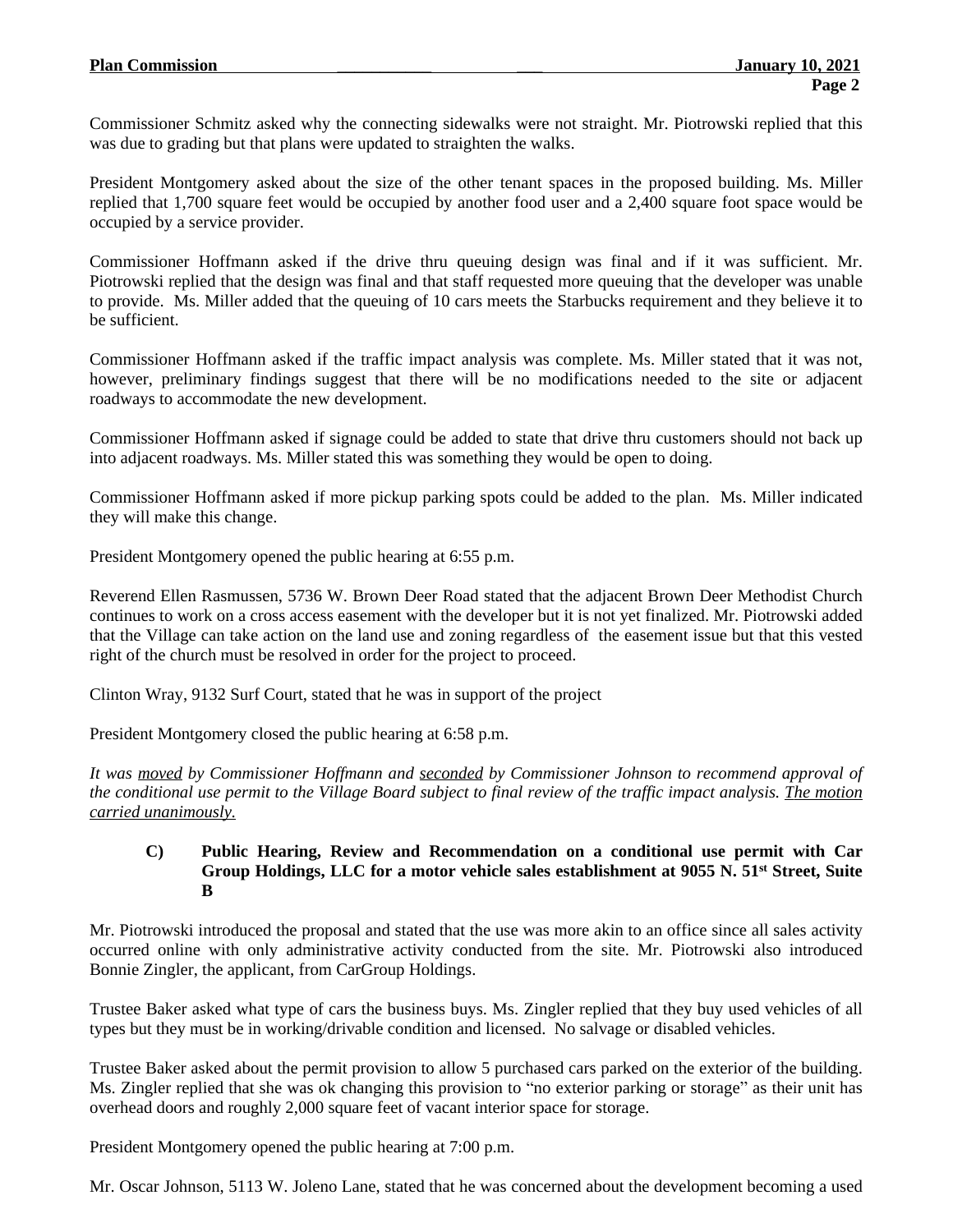Commissioner Schmitz asked why the connecting sidewalks were not straight. Mr. Piotrowski replied that this was due to grading but that plans were updated to straighten the walks.

President Montgomery asked about the size of the other tenant spaces in the proposed building. Ms. Miller replied that 1,700 square feet would be occupied by another food user and a 2,400 square foot space would be occupied by a service provider.

Commissioner Hoffmann asked if the drive thru queuing design was final and if it was sufficient. Mr. Piotrowski replied that the design was final and that staff requested more queuing that the developer was unable to provide. Ms. Miller added that the queuing of 10 cars meets the Starbucks requirement and they believe it to be sufficient.

Commissioner Hoffmann asked if the traffic impact analysis was complete. Ms. Miller stated that it was not, however, preliminary findings suggest that there will be no modifications needed to the site or adjacent roadways to accommodate the new development.

Commissioner Hoffmann asked if signage could be added to state that drive thru customers should not back up into adjacent roadways. Ms. Miller stated this was something they would be open to doing.

Commissioner Hoffmann asked if more pickup parking spots could be added to the plan. Ms. Miller indicated they will make this change.

President Montgomery opened the public hearing at 6:55 p.m.

Reverend Ellen Rasmussen, 5736 W. Brown Deer Road stated that the adjacent Brown Deer Methodist Church continues to work on a cross access easement with the developer but it is not yet finalized. Mr. Piotrowski added that the Village can take action on the land use and zoning regardless of the easement issue but that this vested right of the church must be resolved in order for the project to proceed.

Clinton Wray, 9132 Surf Court, stated that he was in support of the project

President Montgomery closed the public hearing at 6:58 p.m.

*It was moved by Commissioner Hoffmann and seconded by Commissioner Johnson to recommend approval of* the conditional use permit to the Village Board subject to final review of the traffic impact analysis. The motion *carried unanimously.*

#### **C) Public Hearing, Review and Recommendation on a conditional use permit with Car Group Holdings, LLC for a motor vehicle sales establishment at 9055 N. 51st Street, Suite B**

Mr. Piotrowski introduced the proposal and stated that the use was more akin to an office since all sales activity occurred online with only administrative activity conducted from the site. Mr. Piotrowski also introduced Bonnie Zingler, the applicant, from CarGroup Holdings.

Trustee Baker asked what type of cars the business buys. Ms. Zingler replied that they buy used vehicles of all types but they must be in working/drivable condition and licensed. No salvage or disabled vehicles.

Trustee Baker asked about the permit provision to allow 5 purchased cars parked on the exterior of the building. Ms. Zingler replied that she was ok changing this provision to "no exterior parking or storage" as their unit has overhead doors and roughly 2,000 square feet of vacant interior space for storage.

President Montgomery opened the public hearing at 7:00 p.m.

Mr. Oscar Johnson, 5113 W. Joleno Lane, stated that he was concerned about the development becoming a used